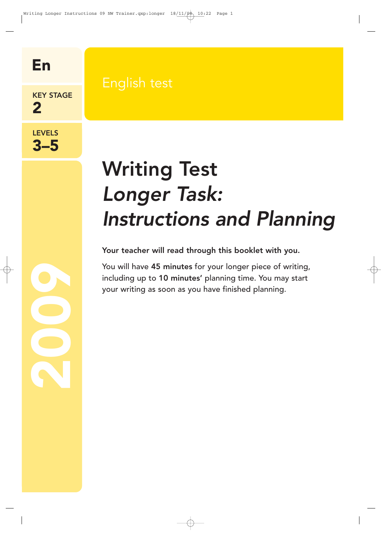En

KEY STAGE 2

#### LEVELS 3–5

2002<br>2002

# Writing Test Longer Task: Instructions and Planning

Your teacher will read through this booklet with you.

You will have 45 minutes for your longer piece of writing, including up to 10 minutes' planning time. You may start your writing as soon as you have finished planning.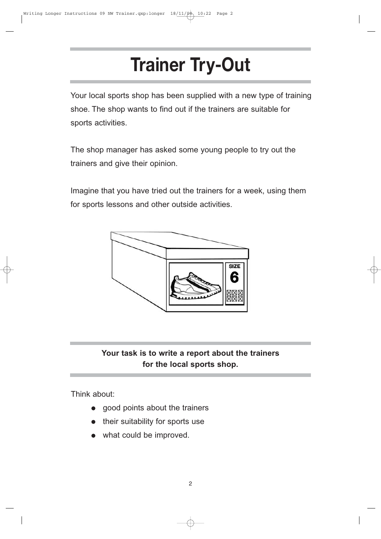## **Trainer Try-Out**

Your local sports shop has been supplied with a new type of training shoe. The shop wants to find out if the trainers are suitable for sports activities.

The shop manager has asked some young people to try out the trainers and give their opinion.

Imagine that you have tried out the trainers for a week, using them for sports lessons and other outside activities.



### **Your task is to write a report about the trainers for the local sports shop.**

Think about:

- good points about the trainers
- their suitability for sports use
- what could be improved.